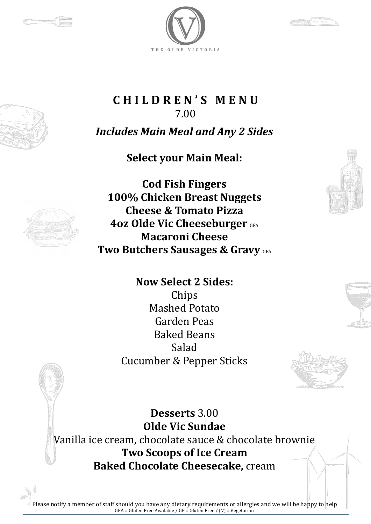







**C H I L D R E N ' S M E N U**  7.00

*Includes Main Meal and Any 2 Sides*

**Select your Main Meal:**



**Cod Fish Fingers 100% Chicken Breast Nuggets Cheese & Tomato Pizza 4oz Olde Vic Cheeseburger GFA Macaroni Cheese Two Butchers Sausages & Gravy GFA** 

> **Now Select 2 Sides:** Chips Mashed Potato Garden Peas Baked Beans Salad Cucumber & Pepper Sticks



**Desserts** 3.00 **Olde Vic Sundae** Vanilla ice cream, chocolate sauce & chocolate brownie **Two Scoops of Ice Cream Baked Chocolate Cheesecake,** cream